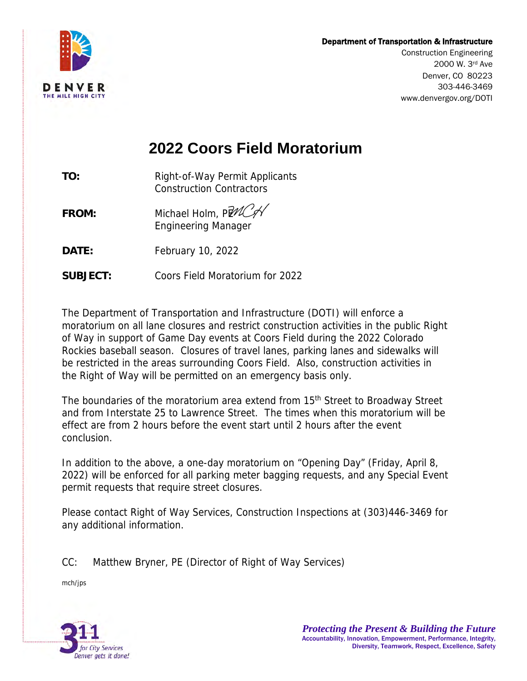## Department of Transportation & Infrastructure



 2000 W. 3rd Ave Construction Engineering Denver, CO 80223 303-446-3469 <www.denvergov.org/DOTI>

## **2022 Coors Field Moratorium**

**TO:** Right-of-Way Permit Applicants Construction Contractors

- **FROM:**  Engineering Manager Michael Holm, PLACA
- **DATE: DATE:** February 10, 2022
- SUBJECT: **SUBJECT:** Coors Field Moratorium for 2022

 The Department of Transportation and Infrastructure (DOTI) will enforce a moratorium on all lane closures and restrict construction activities in the public Right of Way in support of Game Day events at Coors Field during the 2022 Colorado Rockies baseball season. Closures of travel lanes, parking lanes and sidewalks will be restricted in the areas surrounding Coors Field. Also, construction activities in the Right of Way will be permitted on an emergency basis only.

The boundaries of the moratorium area extend from 15<sup>th</sup> Street to Broadway Street and from Interstate 25 to Lawrence Street. The times when this moratorium will be effect are from 2 hours before the event start until 2 hours after the event conclusion.

 In addition to the above, a one-day moratorium on "Opening Day" (Friday, April 8, 2022) will be enforced for all parking meter bagging requests, and any Special Event permit requests that require street closures.

 Please contact Right of Way Services, Construction Inspections at (303)446-3469 for any additional information.

CC: Matthew Bryner, PE (Director of Right of Way Services)

mch/jps

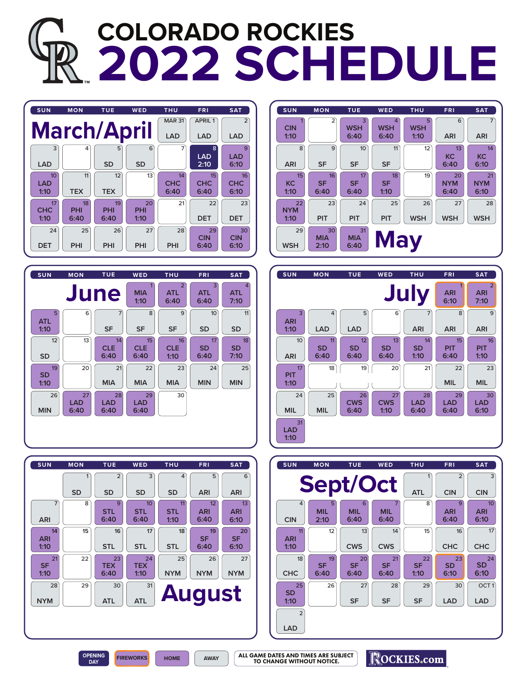## **COLORADO ROCKIES 2022 SCHEDULE**













ROCKIES.com

**OPENING**

**DAY FIREWORKS HOME AWAY**

ALL GAME DATES AND TIMES ARE SUBJECT TO CHANGE WITHOUT NOTICE.